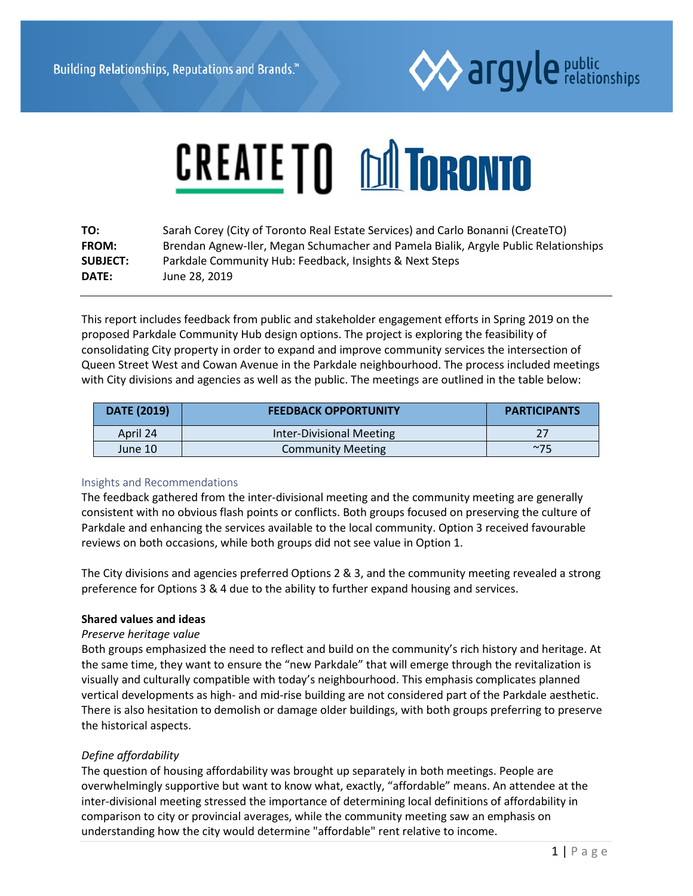

# **CREATE TO DONTORONTO**

| TO:             | Sarah Corey (City of Toronto Real Estate Services) and Carlo Bonanni (CreateTO)     |
|-----------------|-------------------------------------------------------------------------------------|
| <b>FROM:</b>    | Brendan Agnew-Iler, Megan Schumacher and Pamela Bialik, Argyle Public Relationships |
| <b>SUBJECT:</b> | Parkdale Community Hub: Feedback, Insights & Next Steps                             |
| <b>DATE:</b>    | June 28, 2019                                                                       |

This report includes feedback from public and stakeholder engagement efforts in Spring 2019 on the proposed Parkdale Community Hub design options. The project is exploring the feasibility of consolidating City property in order to expand and improve community services the intersection of Queen Street West and Cowan Avenue in the Parkdale neighbourhood. The process included meetings with City divisions and agencies as well as the public. The meetings are outlined in the table below:

| <b>DATE (2019)</b> | <b>FEEDBACK OPPORTUNITY</b> | <b>PARTICIPANTS</b> |
|--------------------|-----------------------------|---------------------|
| April 24           | Inter-Divisional Meeting    |                     |
| June 10            | <b>Community Meeting</b>    | $~1$ ~75            |

## Insights and Recommendations

The feedback gathered from the inter-divisional meeting and the community meeting are generally consistent with no obvious flash points or conflicts. Both groups focused on preserving the culture of Parkdale and enhancing the services available to the local community. Option 3 received favourable reviews on both occasions, while both groups did not see value in Option 1.

The City divisions and agencies preferred Options 2 & 3, and the community meeting revealed a strong preference for Options 3 & 4 due to the ability to further expand housing and services.

#### **Shared values and ideas**

#### *Preserve heritage value*

Both groups emphasized the need to reflect and build on the community's rich history and heritage. At the same time, they want to ensure the "new Parkdale" that will emerge through the revitalization is visually and culturally compatible with today's neighbourhood. This emphasis complicates planned vertical developments as high- and mid-rise building are not considered part of the Parkdale aesthetic. There is also hesitation to demolish or damage older buildings, with both groups preferring to preserve the historical aspects.

## *Define affordability*

The question of housing affordability was brought up separately in both meetings. People are overwhelmingly supportive but want to know what, exactly, "affordable" means. An attendee at the inter-divisional meeting stressed the importance of determining local definitions of affordability in comparison to city or provincial averages, while the community meeting saw an emphasis on understanding how the city would determine "affordable" rent relative to income.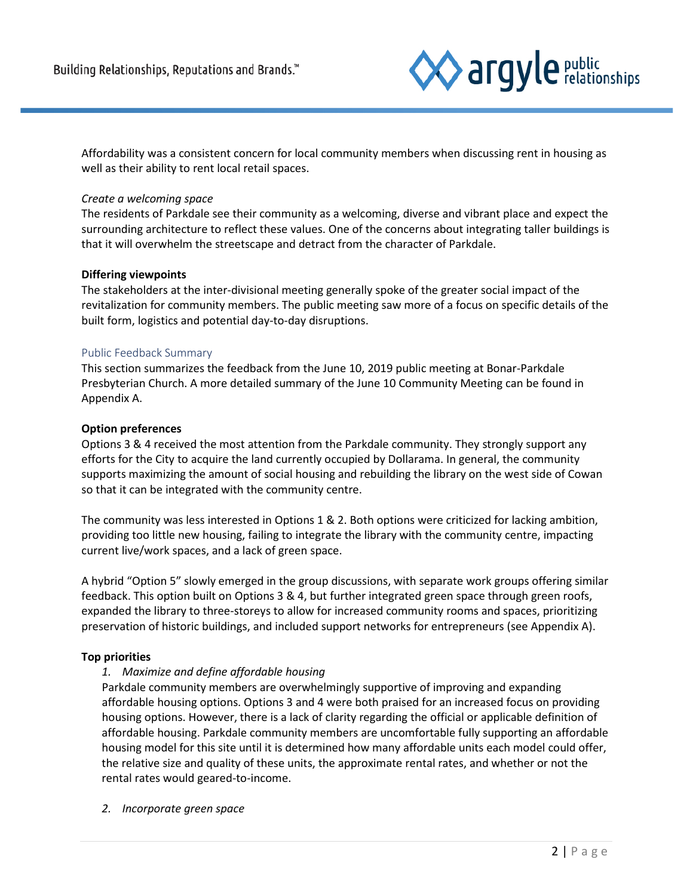

Affordability was a consistent concern for local community members when discussing rent in housing as well as their ability to rent local retail spaces.

#### *Create a welcoming space*

The residents of Parkdale see their community as a welcoming, diverse and vibrant place and expect the surrounding architecture to reflect these values. One of the concerns about integrating taller buildings is that it will overwhelm the streetscape and detract from the character of Parkdale.

#### **Differing viewpoints**

The stakeholders at the inter-divisional meeting generally spoke of the greater social impact of the revitalization for community members. The public meeting saw more of a focus on specific details of the built form, logistics and potential day-to-day disruptions.

#### Public Feedback Summary

This section summarizes the feedback from the June 10, 2019 public meeting at Bonar-Parkdale Presbyterian Church. A more detailed summary of the June 10 Community Meeting can be found in Appendix A.

#### **Option preferences**

Options 3 & 4 received the most attention from the Parkdale community. They strongly support any efforts for the City to acquire the land currently occupied by Dollarama. In general, the community supports maximizing the amount of social housing and rebuilding the library on the west side of Cowan so that it can be integrated with the community centre.

The community was less interested in Options 1 & 2. Both options were criticized for lacking ambition, providing too little new housing, failing to integrate the library with the community centre, impacting current live/work spaces, and a lack of green space.

A hybrid "Option 5" slowly emerged in the group discussions, with separate work groups offering similar feedback. This option built on Options 3 & 4, but further integrated green space through green roofs, expanded the library to three-storeys to allow for increased community rooms and spaces, prioritizing preservation of historic buildings, and included support networks for entrepreneurs (see Appendix A).

## **Top priorities**

## *1. Maximize and define affordable housing*

Parkdale community members are overwhelmingly supportive of improving and expanding affordable housing options. Options 3 and 4 were both praised for an increased focus on providing housing options. However, there is a lack of clarity regarding the official or applicable definition of affordable housing. Parkdale community members are uncomfortable fully supporting an affordable housing model for this site until it is determined how many affordable units each model could offer, the relative size and quality of these units, the approximate rental rates, and whether or not the rental rates would geared-to-income.

*2. Incorporate green space*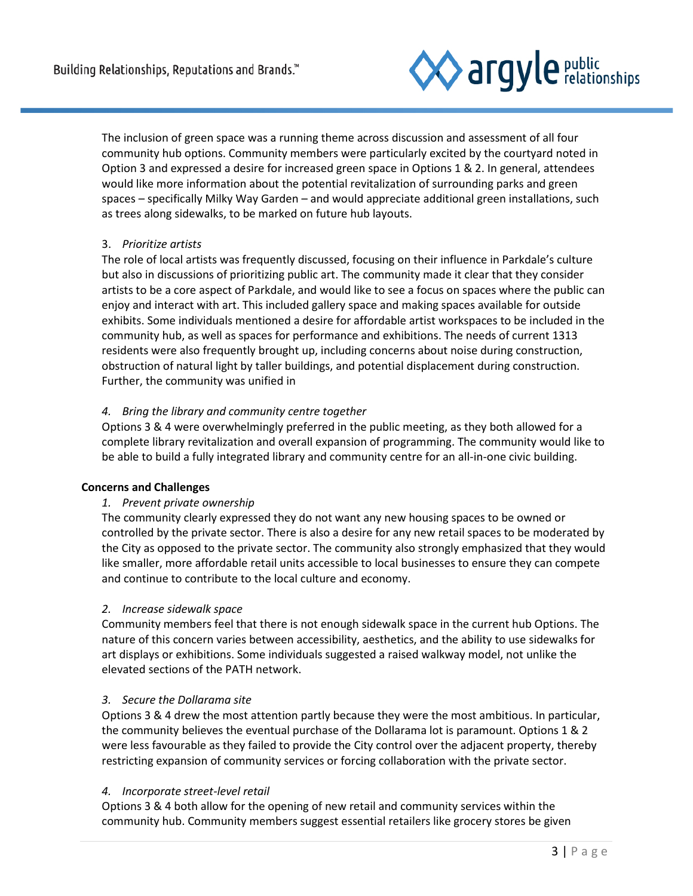

The inclusion of green space was a running theme across discussion and assessment of all four community hub options. Community members were particularly excited by the courtyard noted in Option 3 and expressed a desire for increased green space in Options 1 & 2. In general, attendees would like more information about the potential revitalization of surrounding parks and green spaces – specifically Milky Way Garden – and would appreciate additional green installations, such as trees along sidewalks, to be marked on future hub layouts.

# 3. *Prioritize artists*

The role of local artists was frequently discussed, focusing on their influence in Parkdale's culture but also in discussions of prioritizing public art. The community made it clear that they consider artists to be a core aspect of Parkdale, and would like to see a focus on spaces where the public can enjoy and interact with art. This included gallery space and making spaces available for outside exhibits. Some individuals mentioned a desire for affordable artist workspaces to be included in the community hub, as well as spaces for performance and exhibitions. The needs of current 1313 residents were also frequently brought up, including concerns about noise during construction, obstruction of natural light by taller buildings, and potential displacement during construction. Further, the community was unified in

## *4. Bring the library and community centre together*

Options 3 & 4 were overwhelmingly preferred in the public meeting, as they both allowed for a complete library revitalization and overall expansion of programming. The community would like to be able to build a fully integrated library and community centre for an all-in-one civic building.

## **Concerns and Challenges**

## *1. Prevent private ownership*

The community clearly expressed they do not want any new housing spaces to be owned or controlled by the private sector. There is also a desire for any new retail spaces to be moderated by the City as opposed to the private sector. The community also strongly emphasized that they would like smaller, more affordable retail units accessible to local businesses to ensure they can compete and continue to contribute to the local culture and economy.

## *2. Increase sidewalk space*

Community members feel that there is not enough sidewalk space in the current hub Options. The nature of this concern varies between accessibility, aesthetics, and the ability to use sidewalks for art displays or exhibitions. Some individuals suggested a raised walkway model, not unlike the elevated sections of the PATH network.

## *3. Secure the Dollarama site*

Options 3 & 4 drew the most attention partly because they were the most ambitious. In particular, the community believes the eventual purchase of the Dollarama lot is paramount. Options 1 & 2 were less favourable as they failed to provide the City control over the adjacent property, thereby restricting expansion of community services or forcing collaboration with the private sector.

## *4. Incorporate street-level retail*

Options 3 & 4 both allow for the opening of new retail and community services within the community hub. Community members suggest essential retailers like grocery stores be given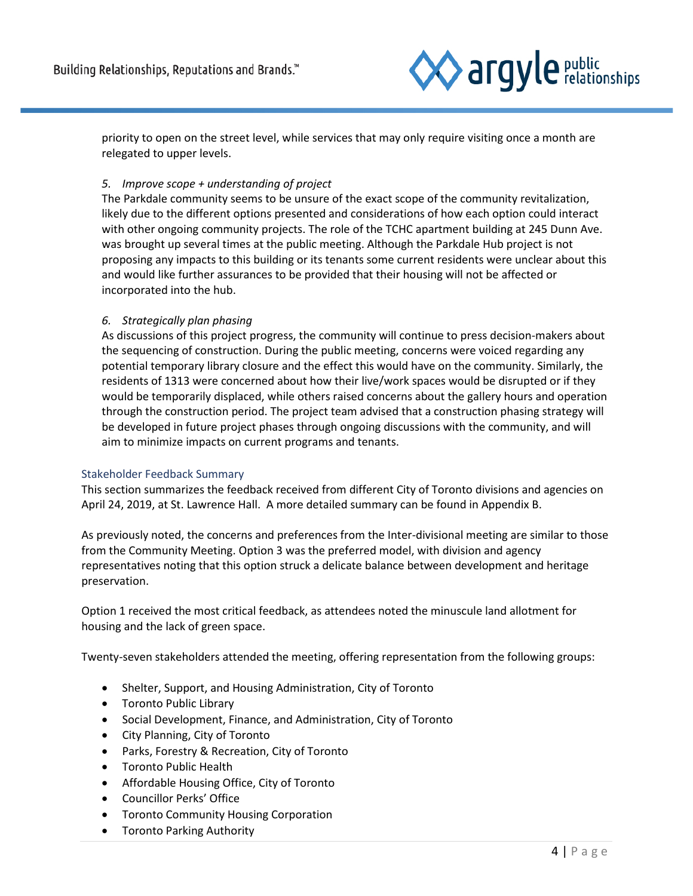

priority to open on the street level, while services that may only require visiting once a month are relegated to upper levels.

## *5. Improve scope + understanding of project*

The Parkdale community seems to be unsure of the exact scope of the community revitalization, likely due to the different options presented and considerations of how each option could interact with other ongoing community projects. The role of the TCHC apartment building at 245 Dunn Ave. was brought up several times at the public meeting. Although the Parkdale Hub project is not proposing any impacts to this building or its tenants some current residents were unclear about this and would like further assurances to be provided that their housing will not be affected or incorporated into the hub.

#### *6. Strategically plan phasing*

As discussions of this project progress, the community will continue to press decision-makers about the sequencing of construction. During the public meeting, concerns were voiced regarding any potential temporary library closure and the effect this would have on the community. Similarly, the residents of 1313 were concerned about how their live/work spaces would be disrupted or if they would be temporarily displaced, while others raised concerns about the gallery hours and operation through the construction period. The project team advised that a construction phasing strategy will be developed in future project phases through ongoing discussions with the community, and will aim to minimize impacts on current programs and tenants.

#### Stakeholder Feedback Summary

This section summarizes the feedback received from different City of Toronto divisions and agencies on April 24, 2019, at St. Lawrence Hall. A more detailed summary can be found in Appendix B.

As previously noted, the concerns and preferences from the Inter-divisional meeting are similar to those from the Community Meeting. Option 3 was the preferred model, with division and agency representatives noting that this option struck a delicate balance between development and heritage preservation.

Option 1 received the most critical feedback, as attendees noted the minuscule land allotment for housing and the lack of green space.

Twenty-seven stakeholders attended the meeting, offering representation from the following groups:

- Shelter, Support, and Housing Administration, City of Toronto
- Toronto Public Library
- Social Development, Finance, and Administration, City of Toronto
- City Planning, City of Toronto
- Parks, Forestry & Recreation, City of Toronto
- Toronto Public Health
- Affordable Housing Office, City of Toronto
- Councillor Perks' Office
- Toronto Community Housing Corporation
- Toronto Parking Authority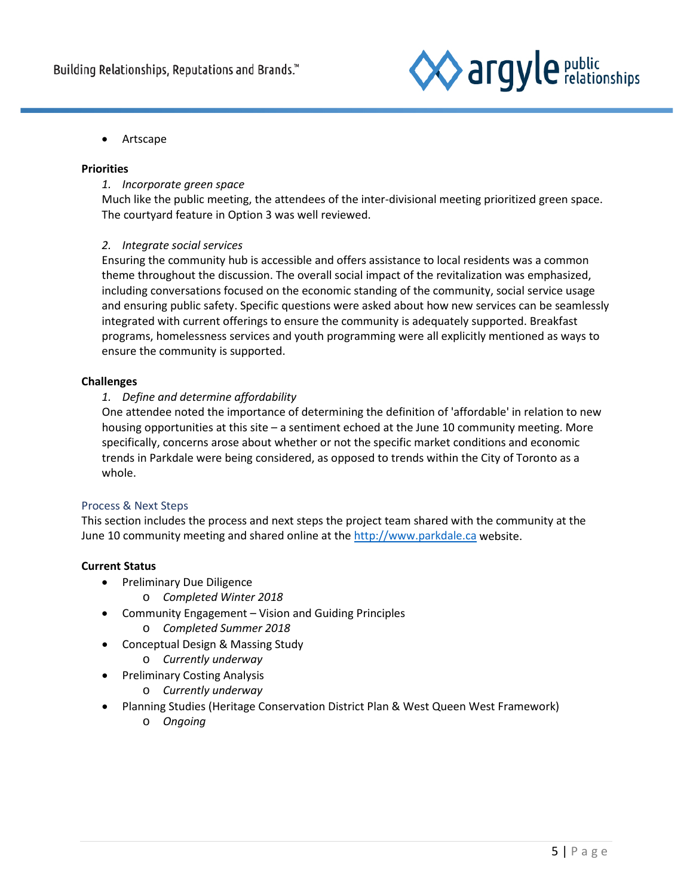

• Artscape

## **Priorities**

# *1. Incorporate green space*

Much like the public meeting, the attendees of the inter-divisional meeting prioritized green space. The courtyard feature in Option 3 was well reviewed.

# *2. Integrate social services*

Ensuring the community hub is accessible and offers assistance to local residents was a common theme throughout the discussion. The overall social impact of the revitalization was emphasized, including conversations focused on the economic standing of the community, social service usage and ensuring public safety. Specific questions were asked about how new services can be seamlessly integrated with current offerings to ensure the community is adequately supported. Breakfast programs, homelessness services and youth programming were all explicitly mentioned as ways to ensure the community is supported.

## **Challenges**

# *1. Define and determine affordability*

One attendee noted the importance of determining the definition of 'affordable' in relation to new housing opportunities at this site – a sentiment echoed at the June 10 community meeting. More specifically, concerns arose about whether or not the specific market conditions and economic trends in Parkdale were being considered, as opposed to trends within the City of Toronto as a whole.

## Process & Next Steps

This section includes the process and next steps the project team shared with the community at the June 10 community meeting and shared online at the [http://www.parkdale.ca](http://www.parkdale.ca/) website.

## **Current Status**

- Preliminary Due Diligence
	- o *Completed Winter 2018*
- Community Engagement Vision and Guiding Principles
	- o *Completed Summer 2018*
- Conceptual Design & Massing Study
	- o *Currently underway*
- Preliminary Costing Analysis
	- o *Currently underway*
- Planning Studies (Heritage Conservation District Plan & West Queen West Framework)
	- o *Ongoing*